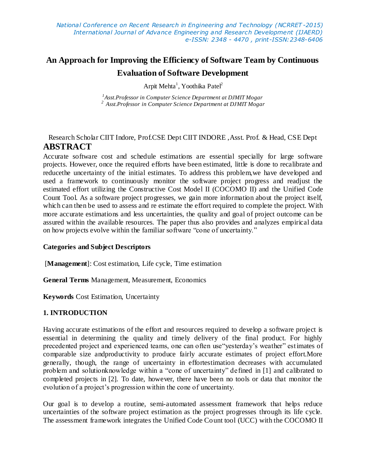# **An Approach for Improving the Efficiency of Software Team by Continuous Evaluation of Software Development**

Arpit Mehta<sup>1</sup>, Yoothika Patel<sup>2</sup>

*1 Asst.Professor in Computer Science Department at DJMIT Mogar 2 Asst.Professor in Computer Science Department at DJMIT Mogar*

### Research Scholar CIIT Indore, Prof.CSE Dept CIIT INDORE ,Asst. Prof. & Head, CSE Dept **ABSTRACT**

Accurate software cost and schedule estimations are essential specially for large software projects. However, once the required efforts have been estimated, little is done to recalibrate and reducethe uncertainty of the initial estimates. To address this problem,we have developed and used a framework to continuously monitor the software project progress and readjust the estimated effort utilizing the Constructive Cost Model II (COCOMO II) and the Unified Code Count Tool. As a software project progresses, we gain more information about the project itself, which can then be used to assess and re estimate the effort required to complete the project. With more accurate estimations and less uncertainties, the quality and goal of project outcome can be assured within the available resources. The paper thus also provides and analyzes empirical data on how projects evolve within the familiar software "cone of uncertainty."

#### **Categories and Subject Descriptors**

[**Management**]: Cost estimation, Life cycle, Time estimation

**General Terms** Management, Measurement, Economics

**Keywords** Cost Estimation, Uncertainty

#### **1. INTRODUCTION**

Having accurate estimations of the effort and resources required to develop a software project is essential in determining the quality and timely delivery of the final product. For highly precedented project and experienced teams, one can often use"yesterday's weather" estimates of comparable size andproductivity to produce fairly accurate estimates of project effort.More generally, though, the range of uncertainty in effortestimation decreases with accumulated problem and solutionknowledge within a "cone of uncertainty" de fined in [1] and calibrated to completed projects in [2]. To date, however, there have been no tools or data that monitor the evolution of a project's progression within the cone of uncertainty.

Our goal is to develop a routine, semi-automated assessment framework that helps reduce uncertainties of the software project estimation as the project progresses through its life cycle. The assessment framework integrates the Unified Code Count tool (UCC) with the COCOMO II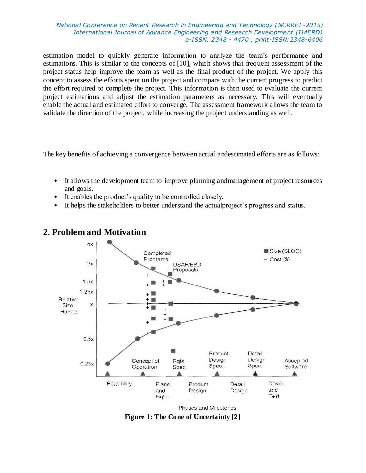estimation model to quickly generate information to analyze the team's performance and estimations. This is similar to the concepts of [10], which shows that frequent assessment of the project status help improve the team as well as the final product of the project. We apply this concept to assess the efforts spent on the project and compare with the current progress to predict the effort required to complete the project. This information is then used to evaluate the current project estimations and adjust the estimation parameters as necessary. This will eventually enable the actual and estimated effort to converge. The assessment framework allows the team to validate the direction of the project, while increasing the project understanding as well.

The key benefits of achieving a convergence between actual andestimated efforts are as follows:

- It allows the development team to improve planning and management of project resources and goals.
- It enables the product's quality to be controlled closely.
- It helps the stakeholders to better understand the actual project's progress and status.



# **2. Problem and Motivation**

**Figure 1: The Cone of Uncertainty [2]**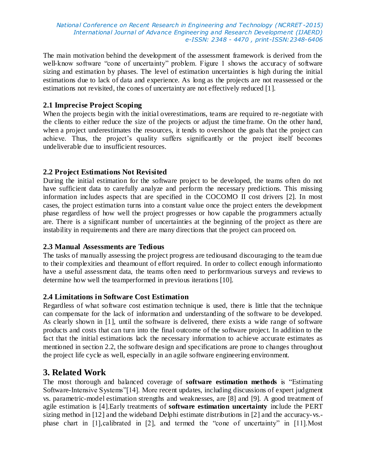The main motivation behind the development of the assessment framework is derived from the well-know software "cone of uncertainty" problem. Figure 1 shows the accuracy of software sizing and estimation by phases. The level of estimation uncertainties is high during the initial estimations due to lack of data and experience. As long as the projects are not reassessed or the estimations not revisited, the cones of uncertainty are not effectively reduced [1].

#### **2.1 Imprecise Project Scoping**

When the projects begin with the initial overestimations, teams are required to re-negotiate with the clients to either reduce the size of the projects or adjust the time frame. On the other hand, when a project underestimates the resources, it tends to overshoot the goals that the project can achieve. Thus, the project's quality suffers significantly or the project itself becomes undeliverable due to insufficient resources.

### **2.2 Project Estimations Not Revisited**

During the initial estimation for the software project to be developed, the teams often do not have sufficient data to carefully analyze and perform the necessary predictions. This missing information includes aspects that are specified in the COCOMO II cost drivers [2]. In most cases, the project estimation turns into a constant value once the project enters the development phase regardless of how well the project progresses or how capable the programmers actually are. There is a significant number of uncertainties at the beginning of the project as there are instability in requirements and there are many directions that the project can proceed on.

#### **2.3 Manual Assessments are Tedious**

The tasks of manually assessing the project progress are tediousand discouraging to the team due to their complexities and theamount of effort required. In order to collect enough informationto have a useful assessment data, the teams often need to performvarious surveys and reviews to determine how well the teamperformed in previous iterations [10].

#### **2.4 Limitations in Software Cost Estimation**

Regardless of what software cost estimation technique is used, there is little that the technique can compensate for the lack of information and understanding of the software to be developed. As clearly shown in [1], until the software is delivered, there exists a wide range of software products and costs that can turn into the final outcome of the software project. In addition to the fact that the initial estimations lack the necessary information to achieve accurate estimates as mentioned in section 2.2, the software design and specifications are prone to changes throughout the project life cycle as well, especially in an agile software engineering environment.

# **3. Related Work**

The most thorough and balanced coverage of **software estimation methods** is "Estimating Software-Intensive Systems"[14]. More recent updates, including discussions of expert judgment vs. parametric-model estimation strengths and weaknesses, are [8] and [9]. A good treatment of agile estimation is [4].Early treatments of **software estimation uncertainty** include the PERT sizing method in [12] and the wideband Delphi estimate distributions in [2] and the accuracy-vs. phase chart in [1],calibrated in [2], and termed the "cone of uncertainty" in [11].Most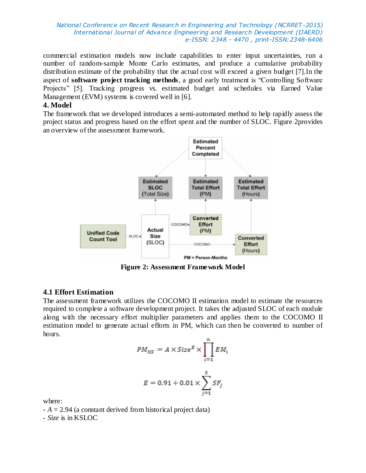commercial estimation models now include capabilities to enter input uncertainties, run a number of random-sample Monte Carlo estimates, and produce a cumulative probability distribution estimate of the probability that the actual cost will exceed a given budget [7].In the aspect of **software project tracking methods**, a good early treatment is "Controlling Software Projects" [5]. Tracking progress vs. estimated budget and schedules via Earned Value Management (EVM) systems is covered well in [6].

#### **4. Model**

The framework that we developed introduces a semi-automated method to help rapidly assess the project status and progress based on the effort spent and the number of SLOC. Figure 2provides an overview of the assessment framework.



**Figure 2: Assessment Framework Model**

#### **4.1 Effort Estimation**

The assessment framework utilizes the COCOMO II estimation model to estimate the resources required to complete a software development project. It takes the adjusted SLOC of each module along with the necessary effort multiplier parameters and applies them to the COCOMO II estimation model to generate actual efforts in PM, which can then be converted to number of hours.

$$
PM_{NS} = A \times Size^{E} \times \prod_{i=1}^{n} EM_{i}
$$

$$
E = 0.91 + 0.01 \times \sum_{j=1}^{5} SF_{j}
$$

where:

- *A* = 2.94 (a constant derived from historical project data)

- *Size* is in KSLOC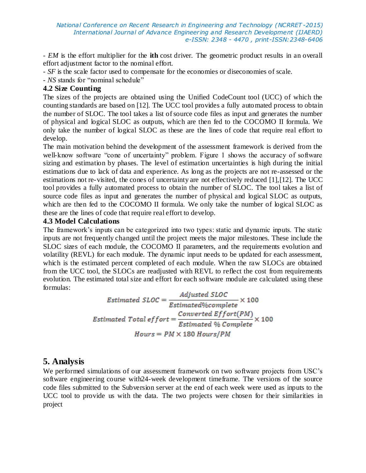- *EM* is the effort multiplier for the **ith** cost driver. The geometric product results in an overall effort adjustment factor to the nominal effort.

- *SF* is the scale factor used to compensate for the economies or diseconomies of scale.

- *NS* stands for "nominal schedule"

## **4.2 Size Counting**

The sizes of the projects are obtained using the Unified CodeCount tool (UCC) of which the counting standards are based on [12]. The UCC tool provides a fully automated process to obtain the number of SLOC. The tool takes a list of source code files as input and generates the number of physical and logical SLOC as outputs, which are then fed to the COCOMO II formula. We only take the number of logical SLOC as these are the lines of code that require real effort to develop.

The main motivation behind the development of the assessment framework is derived from the well-know software "cone of uncertainty" problem. Figure 1 shows the accuracy of software sizing and estimation by phases. The level of estimation uncertainties is high during the initial estimations due to lack of data and experience. As long as the projects are not re-assessed or the estimations not re-visited, the cones of uncertainty are not effectively reduced [1],[12]. The UCC tool provides a fully automated process to obtain the number of SLOC. The tool takes a list of source code files as input and generates the number of physical and logical SLOC as outputs, which are then fed to the COCOMO II formula. We only take the number of logical SLOC as these are the lines of code that require real effort to develop.

### **4.3 Model Calculations**

The framework's inputs can be categorized into two types: static and dynamic inputs. The static inputs are not frequently changed until the project meets the major milestones. These include the SLOC sizes of each module, the COCOMO II parameters, and the requirements evolution and volatility (REVL) for each module. The dynamic input needs to be updated for each assessment, which is the estimated percent completed of each module. When the raw SLOCs are obtained from the UCC tool, the SLOCs are readjusted with REVL to reflect the cost from requirements evolution. The estimated total size and effort for each software module are calculated using these formulas:

 $Estimated \,\,SLOC = \frac{Adjusted \,\,SLOC}{Estimated\%complete} \times 100$   $Estimated \,\,Total \,\,effort = \frac{Converted \,\,Effort(PM)}{Estimated \,\,% Complete} \times 100$  $Hours = PM \times 180$   $Hours/PM$ 

# **5. Analysis**

We performed simulations of our assessment framework on two software projects from USC's software engineering course with24-week development timeframe. The versions of the source code files submitted to the Subversion server at the end of each week were used as inputs to the UCC tool to provide us with the data. The two projects were chosen for their similarities in project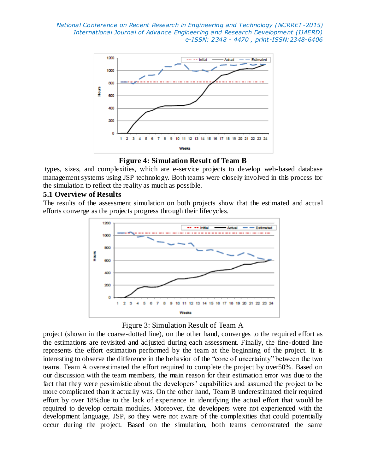

**Figure 4: Simulation Result of Team B**

types, sizes, and complexities, which are e-service projects to develop web-based database management systems using JSP technology. Both teams were closely involved in this process for the simulation to reflect the reality as much as possible.

#### **5.1 Overview of Results**

The results of the assessment simulation on both projects show that the estimated and actual efforts converge as the projects progress through their lifecycles.





project (shown in the coarse-dotted line), on the other hand, converges to the required effort as the estimations are revisited and adjusted during each assessment. Finally, the fine-dotted line represents the effort estimation performed by the team at the beginning of the project. It is interesting to observe the difference in the behavior of the "cone of uncertainty" between the two teams. Team A overestimated the effort required to complete the project by over50%. Based on our discussion with the team members, the main reason for their estimation error was due to the fact that they were pessimistic about the developers' capabilities and assumed the project to be more complicated than it actually was. On the other hand, Team B underestimated their required effort by over 18%due to the lack of experience in identifying the actual effort that would be required to develop certain modules. Moreover, the developers were not experienced with the development language, JSP, so they were not aware of the complexities that could potentially occur during the project. Based on the simulation, both teams demonstrated the same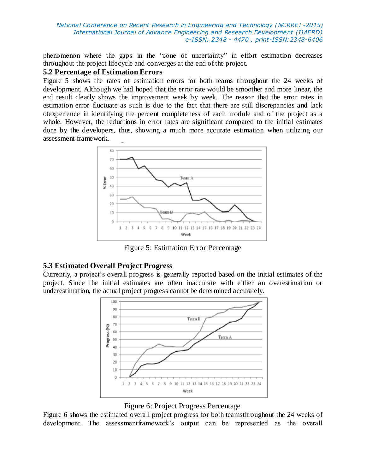phenomenon where the gaps in the "cone of uncertainty" in effort estimation decreases throughout the project lifecycle and converges at the end of the project.

#### **5.2 Percentage of Estimation Errors**

Figure 5 shows the rates of estimation errors for both teams throughout the 24 weeks of development. Although we had hoped that the error rate would be smoother and more linear, the end result clearly shows the improvement week by week. The reason that the error rates in estimation error fluctuate as such is due to the fact that there are still discrepancies and lack ofexperience in identifying the percent completeness of each module and of the project as a whole. However, the reductions in error rates are significant compared to the initial estimates done by the developers, thus, showing a much more accurate estimation when utilizing our assessment framework.



Figure 5: Estimation Error Percentage

#### **5.3 Estimated Overall Project Progress**

Currently, a project's overall progress is generally reported based on the initial estimates of the project. Since the initial estimates are often inaccurate with either an overestimation or underestimation, the actual project progress cannot be determined accurately.



Figure 6: Project Progress Percentage

Figure 6 shows the estimated overall project progress for both teamsthroughout the 24 weeks of development. The assessmentframework's output can be represented as the overall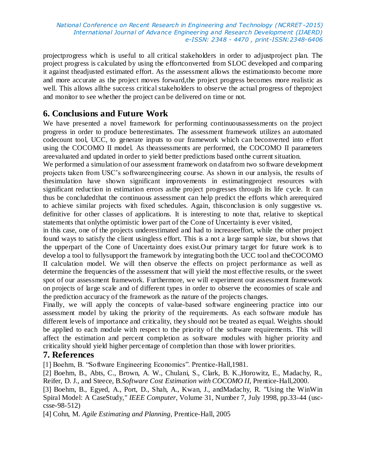projectprogress which is useful to all critical stakeholders in order to adjustproject plan. The project progress is calculated by using the effortconverted from SLOC developed and comparing it against theadjusted estimated effort. As the assessment allows the estimationsto become more and more accurate as the project moves forward,the project progress becomes more realistic as well. This allows allthe success critical stakeholders to observe the actual progress of theproject and monitor to see whether the project can be delivered on time or not.

# **6. Conclusions and Future Work**

We have presented a novel framework for performing continuousassessments on the project progress in order to produce betterestimates. The assessment framework utilizes an automated codecount tool, UCC, to generate inputs to our framework which can beconverted into e ffort using the COCOMO II model. As theassessments are performed, the COCOMO II parameters areevaluated and updated in order to yield better predictions based onthe current situation.

We performed a simulation of our assessment framework on datafrom two software development projects taken from USC's softwareengineering course. As shown in our analysis, the results of thesimulation have shown significant improvements in estimatingproject resources with significant reduction in estimation errors asthe project progresses through its life cycle. It can thus be concludedthat the continuous assessment can help predict the efforts which arerequired to achieve similar projects with fixed schedules. Again, thisconclusion is only suggestive vs. definitive for other classes of applications. It is interesting to note that, relative to skeptical statements that onlythe optimistic lower part of the Cone of Uncertainty is ever visited,

in this case, one of the projects underestimated and had to increaseeffort, while the other project found ways to satisfy the client usingless effort. This is a not a large sample size, but shows that the upperpart of the Cone of Uncertainty does exist.Our primary target for future work is to develop a tool to fullysupport the framework by integrating both the UCC tool and theCOCOMO II calculation model. We will then observe the effects on project performance as well as determine the frequencies of the assessment that will yield the most effective results, or the sweet spot of our assessment framework. Furthermore, we will experiment our assessment framework on projects of large scale and of different types in order to observe the economies of scale and the prediction accuracy of the framework as the nature of the projects changes.

Finally, we will apply the concepts of value-based software engineering practice into our assessment model by taking the priority of the requirements. As each software module has different levels of importance and criticality, they should not be treated as equal. Weights should be applied to each module with respect to the priority of the software requirements. This will affect the estimation and percent completion as software modules with higher priority and criticality should yield higher percentage of completion than those with lower priorities.

## **7. References**

[1] Boehm, B. "Software Engineering Economics". Prentice-Hall,1981.

[2] Boehm, B., Abts, C., Brown, A. W., Chulani, S., Clark, B. K.,Horowitz, E., Madachy, R., Reifer, D. J., and Steece, B.*Software Cost Estimation with COCOMO II*, Prentice-Hall,2000.

[3] Boehm, B., Egyed, A., Port, D., Shah, A., Kwan, J., andMadachy, R. "Using the WinWin Spiral Model: A CaseStudy," *IEEE Computer*, Volume 31, Number 7, July 1998, pp.33-44 (usccsse-98-512)

[4] Cohn, M. *Agile Estimating and Planning*, Prentice-Hall, 2005